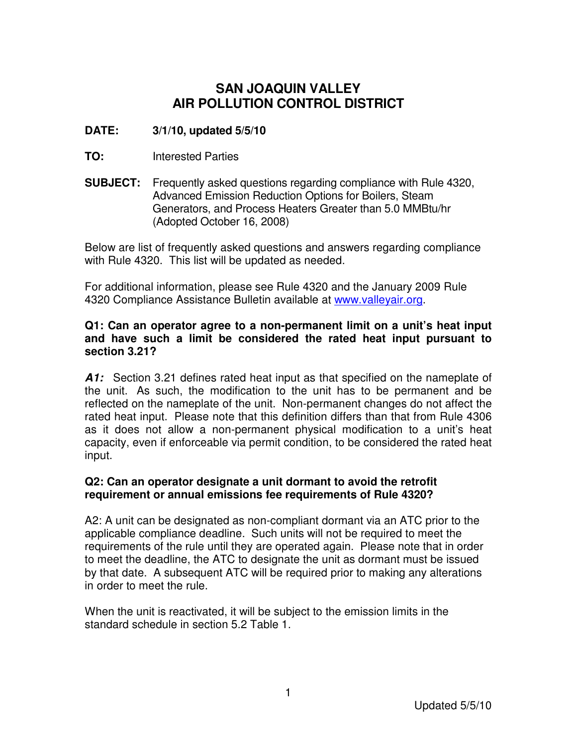# **SAN JOAQUIN VALLEY AIR POLLUTION CONTROL DISTRICT**

# **DATE: 3/1/10, updated 5/5/10**

- **TO:** Interested Parties
- **SUBJECT:** Frequently asked questions regarding compliance with Rule 4320, Advanced Emission Reduction Options for Boilers, Steam Generators, and Process Heaters Greater than 5.0 MMBtu/hr (Adopted October 16, 2008)

Below are list of frequently asked questions and answers regarding compliance with Rule 4320. This list will be updated as needed.

For additional information, please see Rule 4320 and the January 2009 Rule 4320 Compliance Assistance Bulletin available at www.valleyair.org.

#### **Q1: Can an operator agree to a non-permanent limit on a unit's heat input and have such a limit be considered the rated heat input pursuant to section 3.21?**

**A1:** Section 3.21 defines rated heat input as that specified on the nameplate of the unit. As such, the modification to the unit has to be permanent and be reflected on the nameplate of the unit. Non-permanent changes do not affect the rated heat input. Please note that this definition differs than that from Rule 4306 as it does not allow a non-permanent physical modification to a unit's heat capacity, even if enforceable via permit condition, to be considered the rated heat input.

# **Q2: Can an operator designate a unit dormant to avoid the retrofit requirement or annual emissions fee requirements of Rule 4320?**

A2: A unit can be designated as non-compliant dormant via an ATC prior to the applicable compliance deadline. Such units will not be required to meet the requirements of the rule until they are operated again. Please note that in order to meet the deadline, the ATC to designate the unit as dormant must be issued by that date. A subsequent ATC will be required prior to making any alterations in order to meet the rule.

When the unit is reactivated, it will be subject to the emission limits in the standard schedule in section 5.2 Table 1.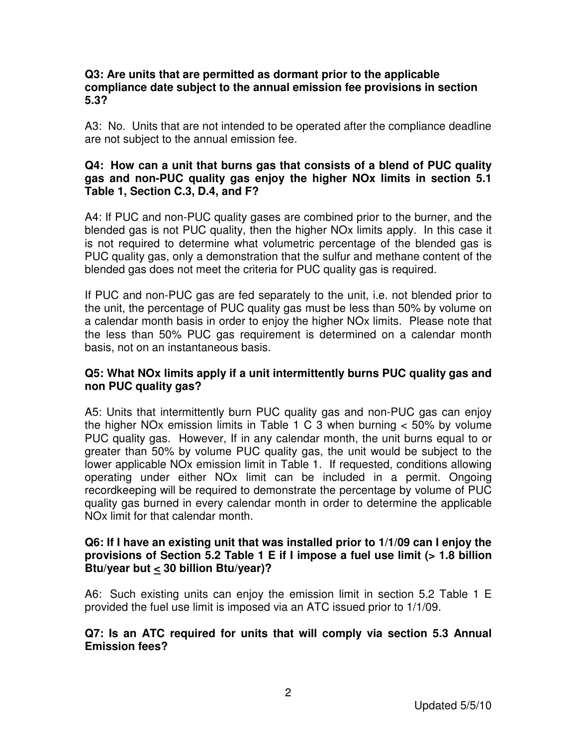#### **Q3: Are units that are permitted as dormant prior to the applicable compliance date subject to the annual emission fee provisions in section 5.3?**

A3: No. Units that are not intended to be operated after the compliance deadline are not subject to the annual emission fee.

#### **Q4: How can a unit that burns gas that consists of a blend of PUC quality gas and non-PUC quality gas enjoy the higher NOx limits in section 5.1 Table 1, Section C.3, D.4, and F?**

A4: If PUC and non-PUC quality gases are combined prior to the burner, and the blended gas is not PUC quality, then the higher NOx limits apply. In this case it is not required to determine what volumetric percentage of the blended gas is PUC quality gas, only a demonstration that the sulfur and methane content of the blended gas does not meet the criteria for PUC quality gas is required.

If PUC and non-PUC gas are fed separately to the unit, i.e. not blended prior to the unit, the percentage of PUC quality gas must be less than 50% by volume on a calendar month basis in order to enjoy the higher NOx limits. Please note that the less than 50% PUC gas requirement is determined on a calendar month basis, not on an instantaneous basis.

## **Q5: What NOx limits apply if a unit intermittently burns PUC quality gas and non PUC quality gas?**

A5: Units that intermittently burn PUC quality gas and non-PUC gas can enjoy the higher NO<sub>x</sub> emission limits in Table 1 C 3 when burning  $<$  50% by volume PUC quality gas. However, If in any calendar month, the unit burns equal to or greater than 50% by volume PUC quality gas, the unit would be subject to the lower applicable NOx emission limit in Table 1. If requested, conditions allowing operating under either NOx limit can be included in a permit. Ongoing recordkeeping will be required to demonstrate the percentage by volume of PUC quality gas burned in every calendar month in order to determine the applicable NOx limit for that calendar month.

#### **Q6: If I have an existing unit that was installed prior to 1/1/09 can I enjoy the provisions of Section 5.2 Table 1 E if I impose a fuel use limit (> 1.8 billion Btu/year but < 30 billion Btu/year)?**

A6: Such existing units can enjoy the emission limit in section 5.2 Table 1 E provided the fuel use limit is imposed via an ATC issued prior to 1/1/09.

## **Q7: Is an ATC required for units that will comply via section 5.3 Annual Emission fees?**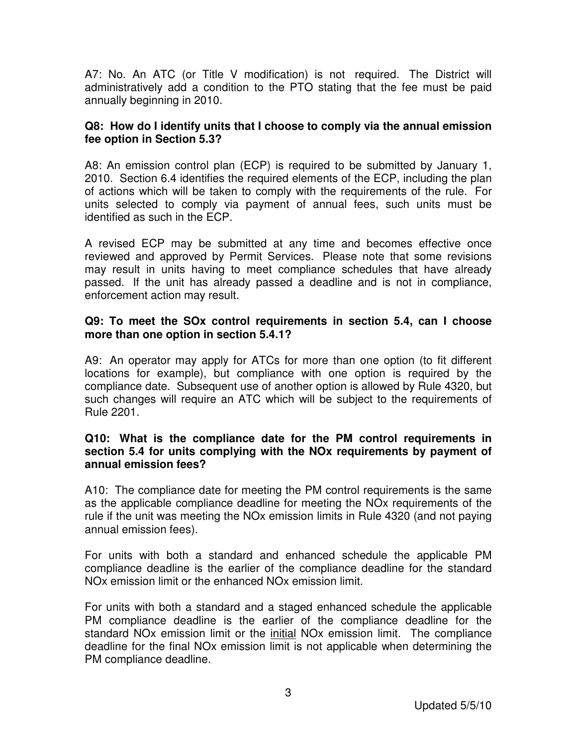A7: No. An ATC (or Title V modification) is not required. The District will administratively add a condition to the PTO stating that the fee must be paid annually beginning in 2010.

## **Q8: How do I identify units that I choose to comply via the annual emission fee option in Section 5.3?**

A8: An emission control plan (ECP) is required to be submitted by January 1, 2010. Section 6.4 identifies the required elements of the ECP, including the plan of actions which will be taken to comply with the requirements of the rule. For units selected to comply via payment of annual fees, such units must be identified as such in the ECP.

A revised ECP may be submitted at any time and becomes effective once reviewed and approved by Permit Services. Please note that some revisions may result in units having to meet compliance schedules that have already passed. If the unit has already passed a deadline and is not in compliance, enforcement action may result.

### **Q9: To meet the SOx control requirements in section 5.4, can I choose more than one option in section 5.4.1?**

A9: An operator may apply for ATCs for more than one option (to fit different locations for example), but compliance with one option is required by the compliance date. Subsequent use of another option is allowed by Rule 4320, but such changes will require an ATC which will be subject to the requirements of Rule 2201.

## **Q10: What is the compliance date for the PM control requirements in section 5.4 for units complying with the NOx requirements by payment of annual emission fees?**

A10: The compliance date for meeting the PM control requirements is the same as the applicable compliance deadline for meeting the NOx requirements of the rule if the unit was meeting the NOx emission limits in Rule 4320 (and not paying annual emission fees).

For units with both a standard and enhanced schedule the applicable PM compliance deadline is the earlier of the compliance deadline for the standard NOx emission limit or the enhanced NOx emission limit.

For units with both a standard and a staged enhanced schedule the applicable PM compliance deadline is the earlier of the compliance deadline for the standard NOx emission limit or the initial NOx emission limit. The compliance deadline for the final NOx emission limit is not applicable when determining the PM compliance deadline.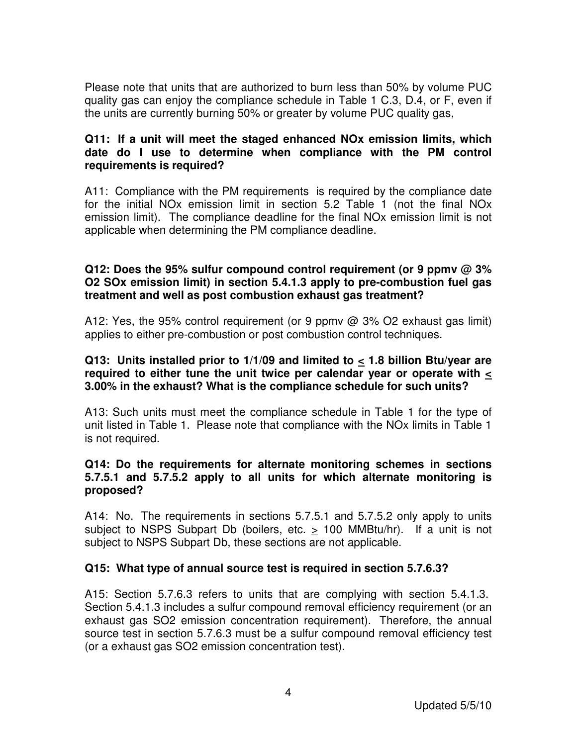Please note that units that are authorized to burn less than 50% by volume PUC quality gas can enjoy the compliance schedule in Table 1 C.3, D.4, or F, even if the units are currently burning 50% or greater by volume PUC quality gas,

## **Q11: If a unit will meet the staged enhanced NOx emission limits, which date do I use to determine when compliance with the PM control requirements is required?**

A11: Compliance with the PM requirements is required by the compliance date for the initial NOx emission limit in section 5.2 Table 1 (not the final NOx emission limit). The compliance deadline for the final NOx emission limit is not applicable when determining the PM compliance deadline.

## **Q12: Does the 95% sulfur compound control requirement (or 9 ppmv @ 3% O2 SOx emission limit) in section 5.4.1.3 apply to pre-combustion fuel gas treatment and well as post combustion exhaust gas treatment?**

A12: Yes, the 95% control requirement (or 9 ppmv @ 3% O2 exhaust gas limit) applies to either pre-combustion or post combustion control techniques.

### **Q13: Units installed prior to 1/1/09 and limited to < 1.8 billion Btu/year are required to either tune the unit twice per calendar year or operate with < 3.00% in the exhaust? What is the compliance schedule for such units?**

A13: Such units must meet the compliance schedule in Table 1 for the type of unit listed in Table 1. Please note that compliance with the NOx limits in Table 1 is not required.

## **Q14: Do the requirements for alternate monitoring schemes in sections 5.7.5.1 and 5.7.5.2 apply to all units for which alternate monitoring is proposed?**

A14: No. The requirements in sections 5.7.5.1 and 5.7.5.2 only apply to units subject to NSPS Subpart Db (boilers, etc. > 100 MMBtu/hr). If a unit is not subject to NSPS Subpart Db, these sections are not applicable.

# **Q15: What type of annual source test is required in section 5.7.6.3?**

A15: Section 5.7.6.3 refers to units that are complying with section 5.4.1.3. Section 5.4.1.3 includes a sulfur compound removal efficiency requirement (or an exhaust gas SO2 emission concentration requirement). Therefore, the annual source test in section 5.7.6.3 must be a sulfur compound removal efficiency test (or a exhaust gas SO2 emission concentration test).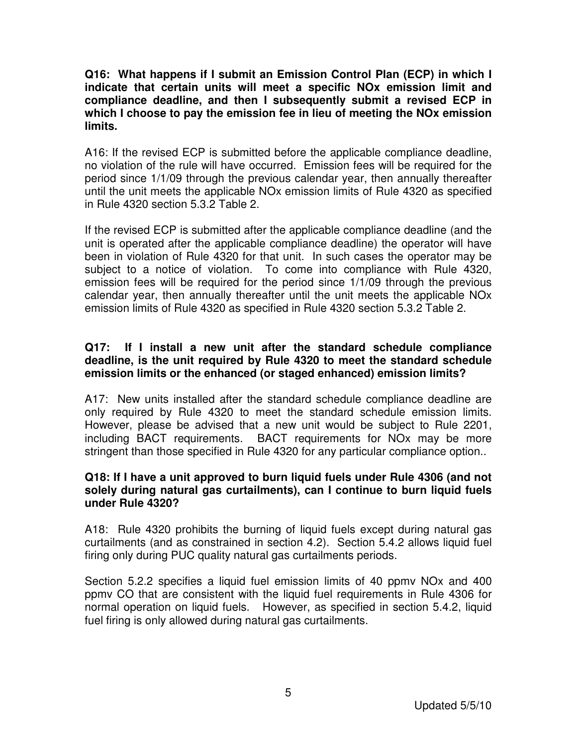**Q16: What happens if I submit an Emission Control Plan (ECP) in which I indicate that certain units will meet a specific NOx emission limit and compliance deadline, and then I subsequently submit a revised ECP in which I choose to pay the emission fee in lieu of meeting the NOx emission limits.** 

A16: If the revised ECP is submitted before the applicable compliance deadline, no violation of the rule will have occurred. Emission fees will be required for the period since 1/1/09 through the previous calendar year, then annually thereafter until the unit meets the applicable NOx emission limits of Rule 4320 as specified in Rule 4320 section 5.3.2 Table 2.

If the revised ECP is submitted after the applicable compliance deadline (and the unit is operated after the applicable compliance deadline) the operator will have been in violation of Rule 4320 for that unit. In such cases the operator may be subject to a notice of violation. To come into compliance with Rule 4320, emission fees will be required for the period since 1/1/09 through the previous calendar year, then annually thereafter until the unit meets the applicable NOx emission limits of Rule 4320 as specified in Rule 4320 section 5.3.2 Table 2.

## **Q17: If I install a new unit after the standard schedule compliance deadline, is the unit required by Rule 4320 to meet the standard schedule emission limits or the enhanced (or staged enhanced) emission limits?**

A17: New units installed after the standard schedule compliance deadline are only required by Rule 4320 to meet the standard schedule emission limits. However, please be advised that a new unit would be subject to Rule 2201, including BACT requirements. BACT requirements for NOx may be more stringent than those specified in Rule 4320 for any particular compliance option..

#### **Q18: If I have a unit approved to burn liquid fuels under Rule 4306 (and not solely during natural gas curtailments), can I continue to burn liquid fuels under Rule 4320?**

A18: Rule 4320 prohibits the burning of liquid fuels except during natural gas curtailments (and as constrained in section 4.2). Section 5.4.2 allows liquid fuel firing only during PUC quality natural gas curtailments periods.

Section 5.2.2 specifies a liquid fuel emission limits of 40 ppmv NOx and 400 ppmv CO that are consistent with the liquid fuel requirements in Rule 4306 for normal operation on liquid fuels. However, as specified in section 5.4.2, liquid fuel firing is only allowed during natural gas curtailments.